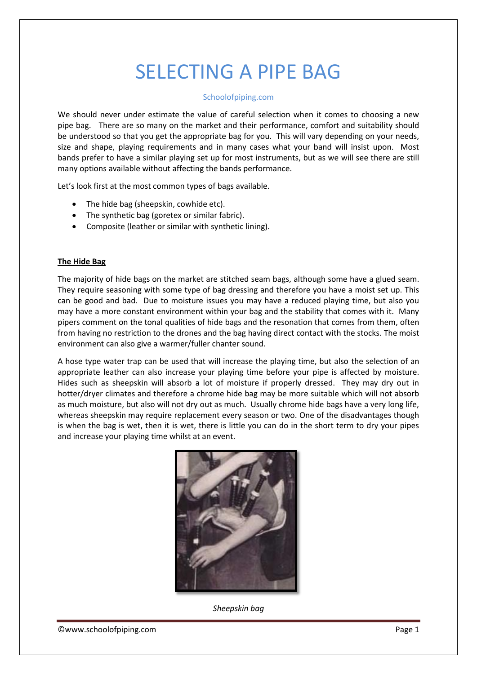# SELECTING A PIPE BAG

# Schoolofpiping.com

We should never under estimate the value of careful selection when it comes to choosing a new pipe bag. There are so many on the market and their performance, comfort and suitability should be understood so that you get the appropriate bag for you. This will vary depending on your needs, size and shape, playing requirements and in many cases what your band will insist upon. Most bands prefer to have a similar playing set up for most instruments, but as we will see there are still many options available without affecting the bands performance.

Let's look first at the most common types of bags available.

- The hide bag (sheepskin, cowhide etc).
- The synthetic bag (goretex or similar fabric).
- Composite (leather or similar with synthetic lining).

# **The Hide Bag**

The majority of hide bags on the market are stitched seam bags, although some have a glued seam. They require seasoning with some type of bag dressing and therefore you have a moist set up. This can be good and bad. Due to moisture issues you may have a reduced playing time, but also you may have a more constant environment within your bag and the stability that comes with it. Many pipers comment on the tonal qualities of hide bags and the resonation that comes from them, often from having no restriction to the drones and the bag having direct contact with the stocks. The moist environment can also give a warmer/fuller chanter sound.

A hose type water trap can be used that will increase the playing time, but also the selection of an appropriate leather can also increase your playing time before your pipe is affected by moisture. Hides such as sheepskin will absorb a lot of moisture if properly dressed. They may dry out in hotter/dryer climates and therefore a chrome hide bag may be more suitable which will not absorb as much moisture, but also will not dry out as much. Usually chrome hide bags have a very long life, whereas sheepskin may require replacement every season or two. One of the disadvantages though is when the bag is wet, then it is wet, there is little you can do in the short term to dry your pipes and increase your playing time whilst at an event.



*Sheepskin bag*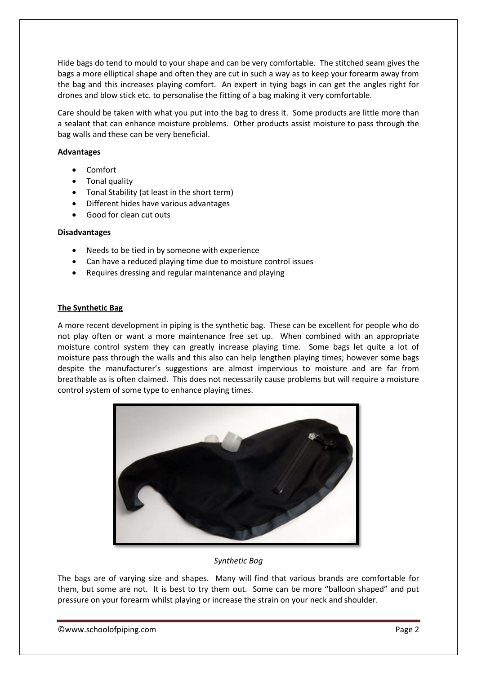Hide bags do tend to mould to your shape and can be very comfortable. The stitched seam gives the bags a more elliptical shape and often they are cut in such a way as to keep your forearm away from the bag and this increases playing comfort. An expert in tying bags in can get the angles right for drones and blow stick etc. to personalise the fitting of a bag making it very comfortable.

Care should be taken with what you put into the bag to dress it. Some products are little more than a sealant that can enhance moisture problems. Other products assist moisture to pass through the bag walls and these can be very beneficial.

# **Advantages**

- Comfort
- Tonal quality
- Tonal Stability (at least in the short term)
- Different hides have various advantages
- Good for clean cut outs

#### **Disadvantages**

- Needs to be tied in by someone with experience
- Can have a reduced playing time due to moisture control issues
- Requires dressing and regular maintenance and playing

#### **The Synthetic Bag**

A more recent development in piping is the synthetic bag. These can be excellent for people who do not play often or want a more maintenance free set up. When combined with an appropriate moisture control system they can greatly increase playing time. Some bags let quite a lot of moisture pass through the walls and this also can help lengthen playing times; however some bags despite the manufacturer's suggestions are almost impervious to moisture and are far from breathable as is often claimed. This does not necessarily cause problems but will require a moisture control system of some type to enhance playing times.



# *Synthetic Bag*

The bags are of varying size and shapes. Many will find that various brands are comfortable for them, but some are not. It is best to try them out. Some can be more "balloon shaped" and put pressure on your forearm whilst playing or increase the strain on your neck and shoulder.

©www.schoolofpiping.com Page 2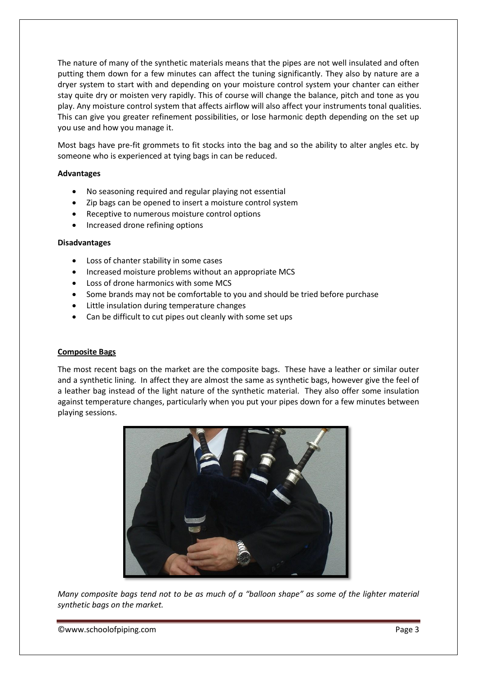The nature of many of the synthetic materials means that the pipes are not well insulated and often putting them down for a few minutes can affect the tuning significantly. They also by nature are a dryer system to start with and depending on your moisture control system your chanter can either stay quite dry or moisten very rapidly. This of course will change the balance, pitch and tone as you play. Any moisture control system that affects airflow will also affect your instruments tonal qualities. This can give you greater refinement possibilities, or lose harmonic depth depending on the set up you use and how you manage it.

Most bags have pre-fit grommets to fit stocks into the bag and so the ability to alter angles etc. by someone who is experienced at tying bags in can be reduced.

# **Advantages**

- No seasoning required and regular playing not essential
- Zip bags can be opened to insert a moisture control system
- Receptive to numerous moisture control options
- Increased drone refining options

#### **Disadvantages**

- Loss of chanter stability in some cases
- Increased moisture problems without an appropriate MCS
- Loss of drone harmonics with some MCS
- Some brands may not be comfortable to you and should be tried before purchase
- Little insulation during temperature changes
- Can be difficult to cut pipes out cleanly with some set ups

# **Composite Bags**

The most recent bags on the market are the composite bags. These have a leather or similar outer and a synthetic lining. In affect they are almost the same as synthetic bags, however give the feel of a leather bag instead of the light nature of the synthetic material. They also offer some insulation against temperature changes, particularly when you put your pipes down for a few minutes between playing sessions.



*Many composite bags tend not to be as much of a "balloon shape" as some of the lighter material synthetic bags on the market.*

©www.schoolofpiping.com Page 3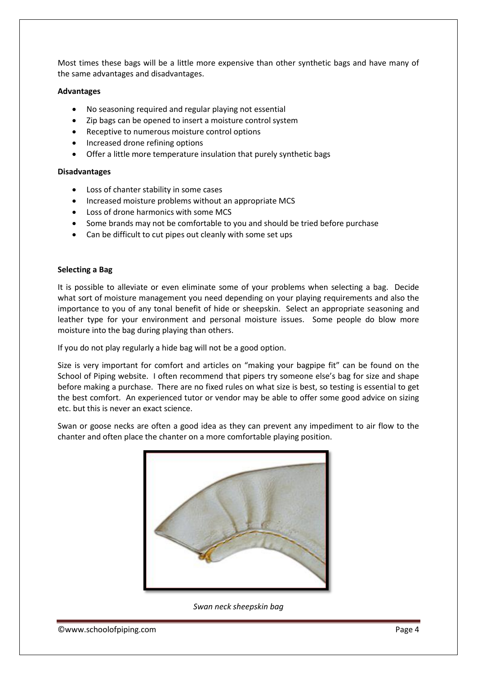Most times these bags will be a little more expensive than other synthetic bags and have many of the same advantages and disadvantages.

#### **Advantages**

- No seasoning required and regular playing not essential
- Zip bags can be opened to insert a moisture control system
- Receptive to numerous moisture control options
- Increased drone refining options
- Offer a little more temperature insulation that purely synthetic bags

#### **Disadvantages**

- Loss of chanter stability in some cases
- Increased moisture problems without an appropriate MCS
- Loss of drone harmonics with some MCS
- Some brands may not be comfortable to you and should be tried before purchase
- Can be difficult to cut pipes out cleanly with some set ups

#### **Selecting a Bag**

It is possible to alleviate or even eliminate some of your problems when selecting a bag. Decide what sort of moisture management you need depending on your playing requirements and also the importance to you of any tonal benefit of hide or sheepskin. Select an appropriate seasoning and leather type for your environment and personal moisture issues. Some people do blow more moisture into the bag during playing than others.

If you do not play regularly a hide bag will not be a good option.

Size is very important for comfort and articles on "making your bagpipe fit" can be found on the School of Piping website. I often recommend that pipers try someone else's bag for size and shape before making a purchase. There are no fixed rules on what size is best, so testing is essential to get the best comfort. An experienced tutor or vendor may be able to offer some good advice on sizing etc. but this is never an exact science.

Swan or goose necks are often a good idea as they can prevent any impediment to air flow to the chanter and often place the chanter on a more comfortable playing position.



*Swan neck sheepskin bag*